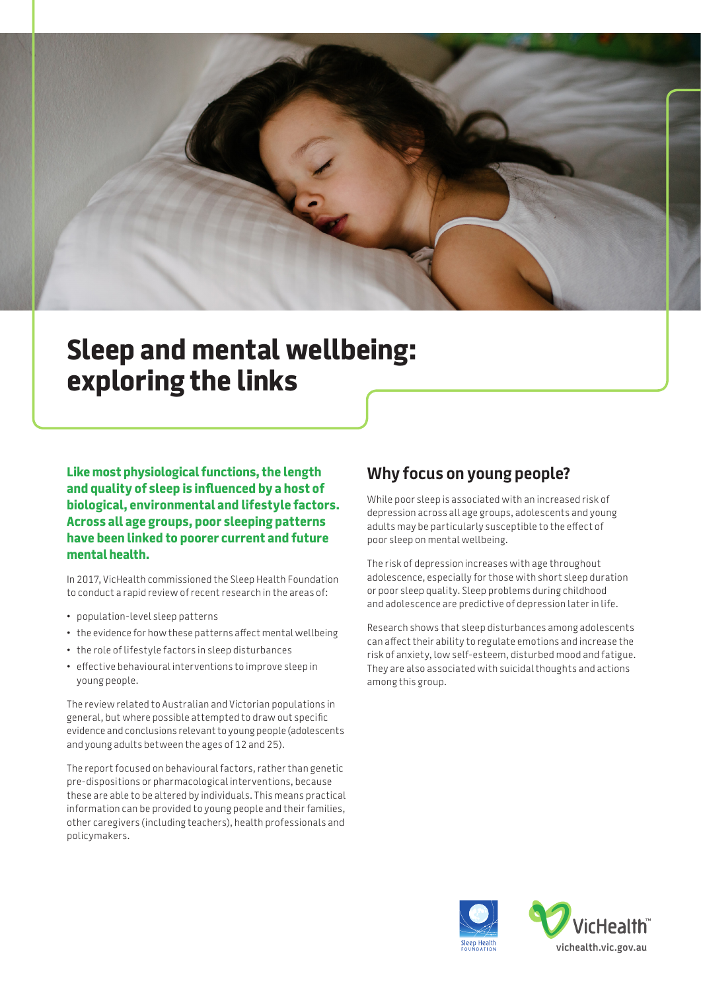

# **Sleep and mental wellbeing: exploring the links**

**Like most physiological functions, the length and quality of sleep is influenced by a host of biological, environmental and lifestyle factors. Across all age groups, poor sleeping patterns have been linked to poorer current and future mental health.** 

In 2017, VicHealth commissioned the Sleep Health Foundation to conduct a rapid review of recent research in the areas of:

- population-level sleep patterns
- the evidence for how these patterns affect mental wellbeing
- the role of lifestyle factors in sleep disturbances
- effective behavioural interventions to improve sleep in young people.

The review related to Australian and Victorian populations in general, but where possible attempted to draw out specific evidence and conclusions relevant to young people (adolescents and young adults between the ages of 12 and 25).

The report focused on behavioural factors, rather than genetic pre-dispositions or pharmacological interventions, because these are able to be altered by individuals. This means practical information can be provided to young people and their families, other caregivers (including teachers), health professionals and policymakers.

## **Why focus on young people?**

While poor sleep is associated with an increased risk of depression across all age groups, adolescents and young adults may be particularly susceptible to the effect of poor sleep on mental wellbeing.

The risk of depression increases with age throughout adolescence, especially for those with short sleep duration or poor sleep quality. Sleep problems during childhood and adolescence are predictive of depression later in life.

Research shows that sleep disturbances among adolescents can affect their ability to regulate emotions and increase the risk of anxiety, low self-esteem, disturbed mood and fatigue. They are also associated with suicidal thoughts and actions among this group.

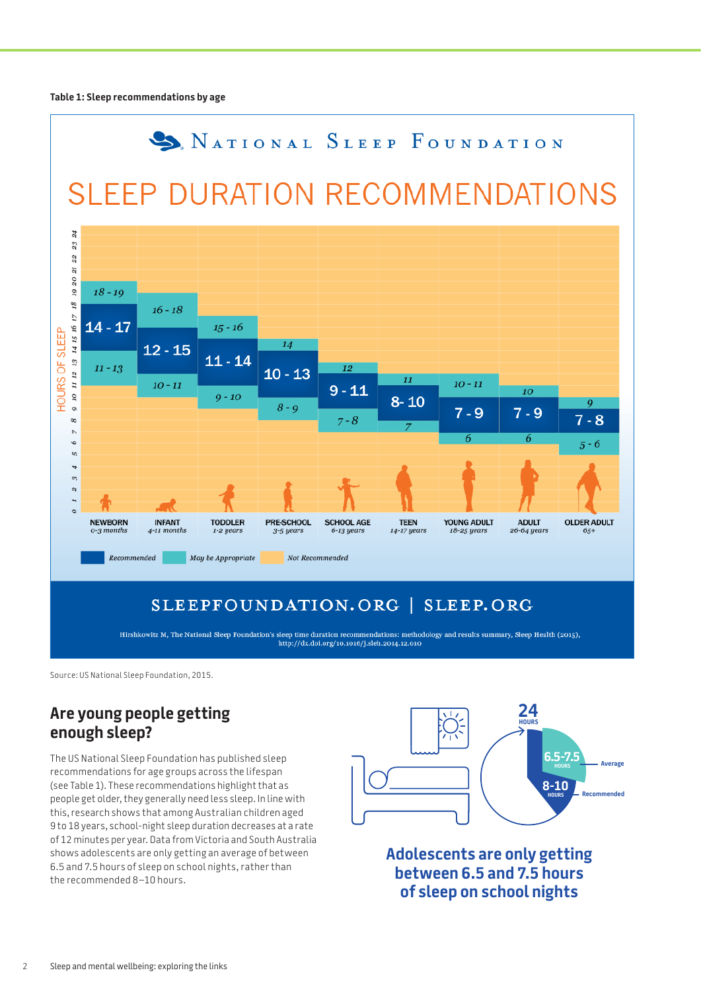**Table 1: Sleep recommendations by age**



## SLEEPFOUNDATION.ORG | SLEEP.ORG

Hirshkowitz M, The National Sleep Foundation's sleep time duration recommendations: methodology and results summary, Sleep Health (2015), http://dx.doi.org/10.1016/j.sleh.2014.12.010

Source: US National Sleep Foundation, 2015.

## **Are young people getting enough sleep?**

The US National Sleep Foundation has published sleep recommendations for age groups across the lifespan (see Table 1). These recommendations highlight that as people get older, they generally need less sleep. In line with this, research shows that among Australian children aged 9 to 18 years, school-night sleep duration decreases at a rate of 12 minutes per year. Data from Victoria and South Australia shows adolescents are only getting an average of between 6.5 and 7.5 hours of sleep on school nights, rather than the recommended 8–10 hours.



**Adolescents are only getting between 6.5 and 7.5 hours of sleep on school nights**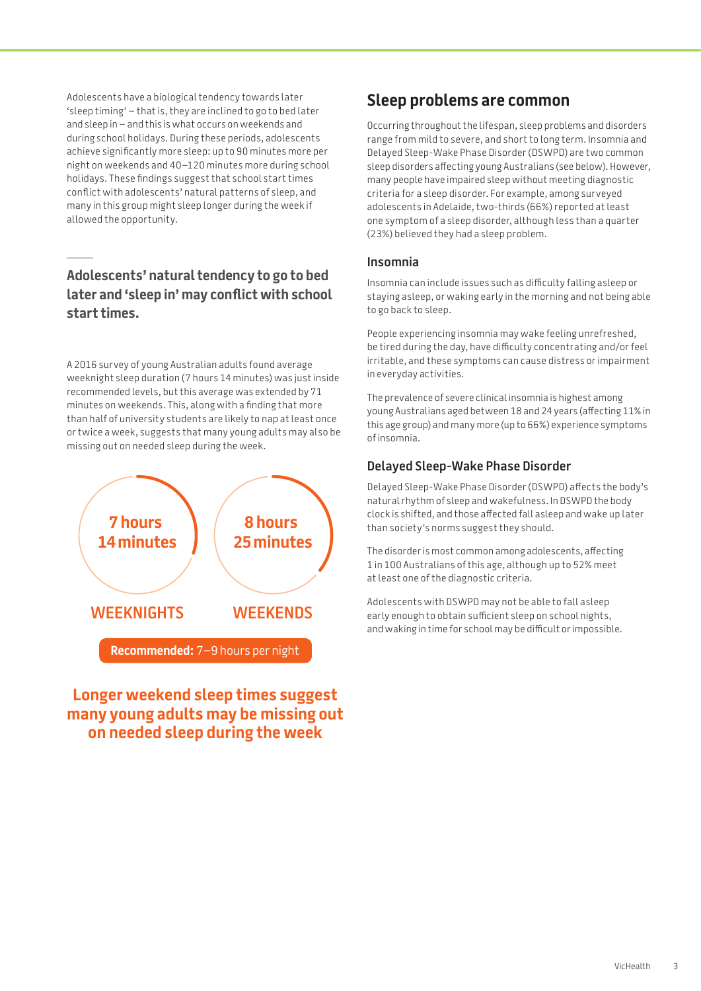Adolescents have a biological tendency towards later 'sleep timing' – that is, they are inclined to go to bed later and sleep in – and this is what occurs on weekends and during school holidays. During these periods, adolescents achieve significantly more sleep: up to 90 minutes more per night on weekends and 40–120 minutes more during school holidays. These findings suggest that school start times conflict with adolescents' natural patterns of sleep, and many in this group might sleep longer during the week if allowed the opportunity.

## **Adolescents' natural tendency to go to bed later and 'sleep in' may conflict with school start times.**

A 2016 survey of young Australian adults found average weeknight sleep duration (7 hours 14 minutes) was just inside recommended levels, but this average was extended by 71 minutes on weekends. This, along with a finding that more than half of university students are likely to nap at least once or twice a week, suggests that many young adults may also be missing out on needed sleep during the week.



## **Longer weekend sleep times suggest many young adults may be missing out on needed sleep during the week**

## **Sleep problems are common**

Occurring throughout the lifespan, sleep problems and disorders range from mild to severe, and short to long term. Insomnia and Delayed Sleep-Wake Phase Disorder (DSWPD) are two common sleep disorders affecting young Australians (see below). However, many people have impaired sleep without meeting diagnostic criteria for a sleep disorder. For example, among surveyed adolescents in Adelaide, two-thirds (66%) reported at least one symptom of a sleep disorder, although less than a quarter (23%) believed they had a sleep problem.

#### **Insomnia**

Insomnia can include issues such as difficulty falling asleep or staying asleep, or waking early in the morning and not being able to go back to sleep.

People experiencing insomnia may wake feeling unrefreshed, be tired during the day, have difficulty concentrating and/or feel irritable, and these symptoms can cause distress or impairment in everyday activities.

The prevalence of severe clinical insomnia is highest among young Australians aged between 18 and 24 years (affecting 11% in this age group) and many more (up to 66%) experience symptoms of insomnia.

#### **Delayed Sleep-Wake Phase Disorder**

Delayed Sleep-Wake Phase Disorder (DSWPD) affects the body's natural rhythm of sleep and wakefulness. In DSWPD the body clock is shifted, and those affected fall asleep and wake up later than society's norms suggest they should.

The disorder is most common among adolescents, affecting 1 in 100 Australians of this age, although up to 52% meet at least one of the diagnostic criteria.

Adolescents with DSWPD may not be able to fall asleep early enough to obtain sufficient sleep on school nights, and waking in time for school may be difficult or impossible.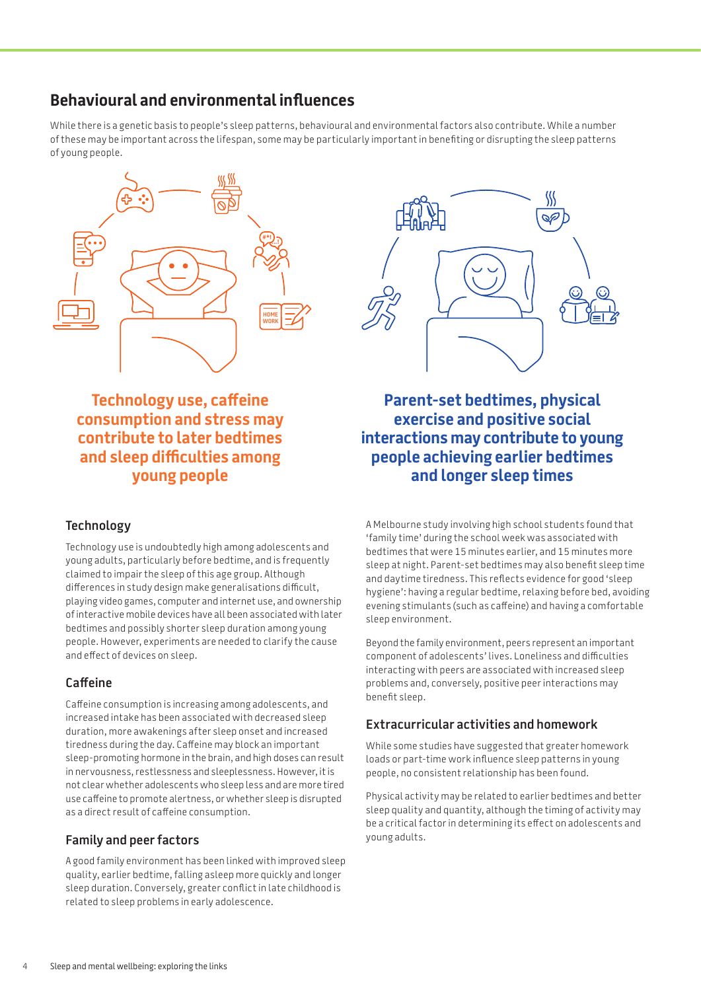## **Behavioural and environmental influences**

While there is a genetic basis to people's sleep patterns, behavioural and environmental factors also contribute. While a number of these may be important across the lifespan, some may be particularly important in benefiting or disrupting the sleep patterns of young people.



**Technology use, caffeine consumption and stress may contribute to later bedtimes and sleep difficulties among young people**

#### **Technology**

Technology use is undoubtedly high among adolescents and young adults, particularly before bedtime, and is frequently claimed to impair the sleep of this age group. Although differences in study design make generalisations difficult, playing video games, computer and internet use, and ownership of interactive mobile devices have all been associated with later bedtimes and possibly shorter sleep duration among young people. However, experiments are needed to clarify the cause and effect of devices on sleep.

#### **Caffeine**

Caffeine consumption is increasing among adolescents, and increased intake has been associated with decreased sleep duration, more awakenings after sleep onset and increased tiredness during the day. Caffeine may block an important sleep-promoting hormone in the brain, and high doses can result in nervousness, restlessness and sleeplessness. However, it is not clear whether adolescents who sleep less and are more tired use caffeine to promote alertness, or whether sleep is disrupted as a direct result of caffeine consumption.

#### **Family and peer factors**

A good family environment has been linked with improved sleep quality, earlier bedtime, falling asleep more quickly and longer sleep duration. Conversely, greater conflict in late childhood is related to sleep problems in early adolescence.



**Parent-set bedtimes, physical exercise and positive social interactions may contribute to young people achieving earlier bedtimes and longer sleep times**

A Melbourne study involving high school students found that 'family time' during the school week was associated with bedtimes that were 15 minutes earlier, and 15 minutes more sleep at night. Parent-set bedtimes may also benefit sleep time and daytime tiredness. This reflects evidence for good 'sleep hygiene': having a regular bedtime, relaxing before bed, avoiding evening stimulants (such as caffeine) and having a comfortable sleep environment.

Beyond the family environment, peers represent an important component of adolescents' lives. Loneliness and difficulties interacting with peers are associated with increased sleep problems and, conversely, positive peer interactions may benefit sleep.

#### **Extracurricular activities and homework**

While some studies have suggested that greater homework loads or part-time work influence sleep patterns in young people, no consistent relationship has been found.

Physical activity may be related to earlier bedtimes and better sleep quality and quantity, although the timing of activity may be a critical factor in determining its effect on adolescents and young adults.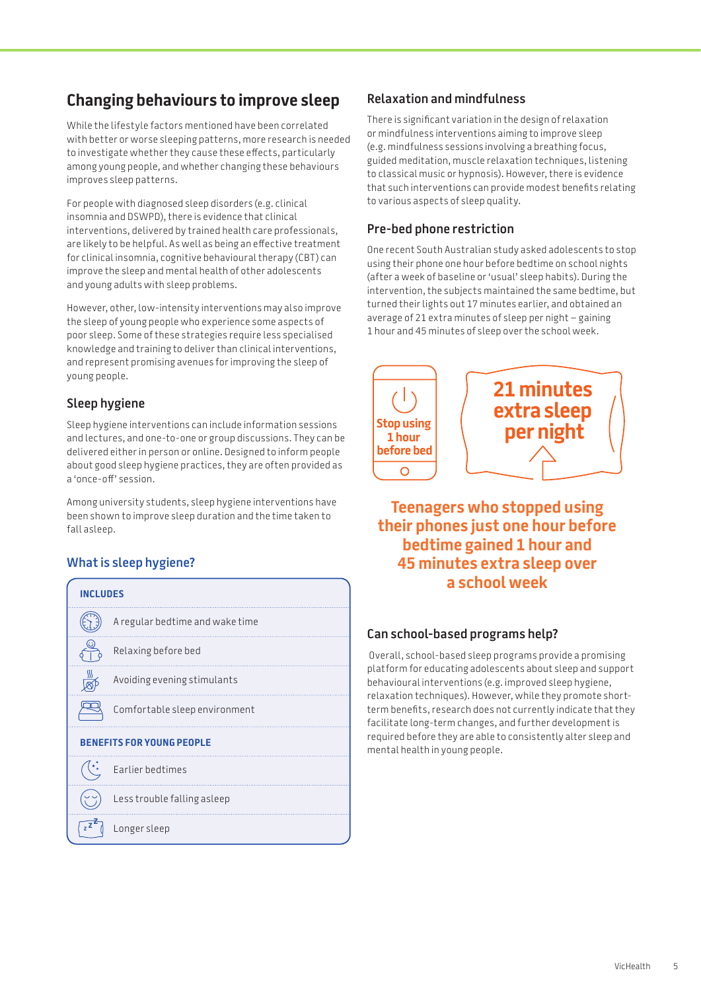# **Changing behaviours to improve sleep**

While the lifestyle factors mentioned have been correlated with better or worse sleeping patterns, more research is needed to investigate whether they cause these effects, particularly among young people, and whether changing these behaviours improves sleep patterns.

For people with diagnosed sleep disorders (e.g. clinical insomnia and DSWPD), there is evidence that clinical interventions, delivered by trained health care professionals, are likely to be helpful. As well as being an effective treatment for clinical insomnia, cognitive behavioural therapy (CBT) can improve the sleep and mental health of other adolescents and young adults with sleep problems.

However, other, low-intensity interventions may also improve the sleep of young people who experience some aspects of poor sleep. Some of these strategies require less specialised knowledge and training to deliver than clinical interventions, and represent promising avenues for improving the sleep of young people.

### **Sleep hygiene**

Sleep hygiene interventions can include information sessions and lectures, and one-to-one or group discussions. They can be delivered either in person or online. Designed to inform people about good sleep hygiene practices, they are often provided as a 'once-off' session.

Among university students, sleep hygiene interventions have been shown to improve sleep duration and the time taken to fall asleep.

## **What is sleep hygiene?**

| <b>INCLUDES</b>                  |                                 |  |
|----------------------------------|---------------------------------|--|
|                                  | A regular bedtime and wake time |  |
|                                  | Relaxing before bed             |  |
|                                  | Avoiding evening stimulants     |  |
|                                  | Comfortable sleep environment   |  |
| <b>BENEFITS FOR YOUNG PEOPLE</b> |                                 |  |
|                                  | Earlier bedtimes                |  |
|                                  | Less trouble falling asleep     |  |
|                                  | Longer sleep                    |  |

#### **Relaxation and mindfulness**

There is significant variation in the design of relaxation or mindfulness interventions aiming to improve sleep (e.g. mindfulness sessions involving a breathing focus, guided meditation, muscle relaxation techniques, listening to classical music or hypnosis). However, there is evidence that such interventions can provide modest benefits relating to various aspects of sleep quality.

#### **Pre-bed phone restriction**

One recent South Australian study asked adolescents to stop using their phone one hour before bedtime on school nights (after a week of baseline or 'usual' sleep habits). During the intervention, the subjects maintained the same bedtime, but turned their lights out 17 minutes earlier, and obtained an average of 21 extra minutes of sleep per night – gaining 1 hour and 45 minutes of sleep over the school week.



**Teenagers who stopped using their phones just one hour before bedtime gained 1 hour and 45 minutes extra sleep over a school week**

#### **Can school-based programs help?**

 Overall, school-based sleep programs provide a promising platform for educating adolescents about sleep and support behavioural interventions (e.g. improved sleep hygiene, relaxation techniques). However, while they promote shortterm benefits, research does not currently indicate that they facilitate long-term changes, and further development is required before they are able to consistently alter sleep and mental health in young people.